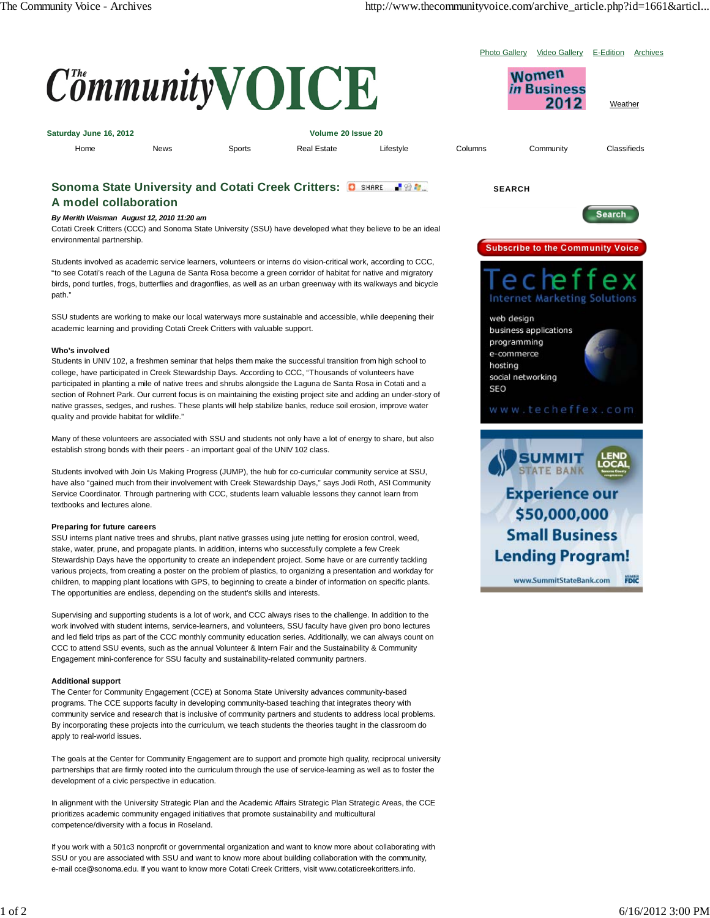Women *in* Business 2012

Photo Gallery Video Gallery E-Edition Archives

**Weather** 



| Saturday June 16, 2012 |             |        | Volume 20 Issue 20 |           |         |           |             |
|------------------------|-------------|--------|--------------------|-----------|---------|-----------|-------------|
| Home                   | <b>News</b> | Sports | <b>Real Estate</b> | Lifestyle | Columns | Community | Classifieds |

# **Sonoma State University and Cotati Creek Critters: O SHARE HIMM.**

# **A model collaboration**

## *By Merith Weisman August 12, 2010 11:20 am*

Cotati Creek Critters (CCC) and Sonoma State University (SSU) have developed what they believe to be an ideal environmental partnership.

Students involved as academic service learners, volunteers or interns do vision-critical work, according to CCC, "to see Cotati's reach of the Laguna de Santa Rosa become a green corridor of habitat for native and migratory birds, pond turtles, frogs, butterflies and dragonflies, as well as an urban greenway with its walkways and bicycle path."

SSU students are working to make our local waterways more sustainable and accessible, while deepening their academic learning and providing Cotati Creek Critters with valuable support.

## **Who's involved**

Students in UNIV 102, a freshmen seminar that helps them make the successful transition from high school to college, have participated in Creek Stewardship Days. According to CCC, "Thousands of volunteers have participated in planting a mile of native trees and shrubs alongside the Laguna de Santa Rosa in Cotati and a section of Rohnert Park. Our current focus is on maintaining the existing project site and adding an under-story of native grasses, sedges, and rushes. These plants will help stabilize banks, reduce soil erosion, improve water quality and provide habitat for wildlife."

Many of these volunteers are associated with SSU and students not only have a lot of energy to share, but also establish strong bonds with their peers - an important goal of the UNIV 102 class.

Students involved with Join Us Making Progress (JUMP), the hub for co-curricular community service at SSU, have also "gained much from their involvement with Creek Stewardship Days," says Jodi Roth, ASI Community Service Coordinator. Through partnering with CCC, students learn valuable lessons they cannot learn from textbooks and lectures alone.

#### **Preparing for future careers**

SSU interns plant native trees and shrubs, plant native grasses using jute netting for erosion control, weed, stake, water, prune, and propagate plants. In addition, interns who successfully complete a few Creek Stewardship Days have the opportunity to create an independent project. Some have or are currently tackling various projects, from creating a poster on the problem of plastics, to organizing a presentation and workday for children, to mapping plant locations with GPS, to beginning to create a binder of information on specific plants. The opportunities are endless, depending on the student's skills and interests.

Supervising and supporting students is a lot of work, and CCC always rises to the challenge. In addition to the work involved with student interns, service-learners, and volunteers, SSU faculty have given pro bono lectures and led field trips as part of the CCC monthly community education series. Additionally, we can always count on CCC to attend SSU events, such as the annual Volunteer & Intern Fair and the Sustainability & Community Engagement mini-conference for SSU faculty and sustainability-related community partners.

#### **Additional support**

The Center for Community Engagement (CCE) at Sonoma State University advances community-based programs. The CCE supports faculty in developing community-based teaching that integrates theory with community service and research that is inclusive of community partners and students to address local problems. By incorporating these projects into the curriculum, we teach students the theories taught in the classroom do apply to real-world issues.

The goals at the Center for Community Engagement are to support and promote high quality, reciprocal university partnerships that are firmly rooted into the curriculum through the use of service-learning as well as to foster the development of a civic perspective in education.

In alignment with the University Strategic Plan and the Academic Affairs Strategic Plan Strategic Areas, the CCE prioritizes academic community engaged initiatives that promote sustainability and multicultural competence/diversity with a focus in Roseland.

If you work with a 501c3 nonprofit or governmental organization and want to know more about collaborating with SSU or you are associated with SSU and want to know more about building collaboration with the community, e-mail cce@sonoma.edu. If you want to know more Cotati Creek Critters, visit www.cotaticreekcritters.info.